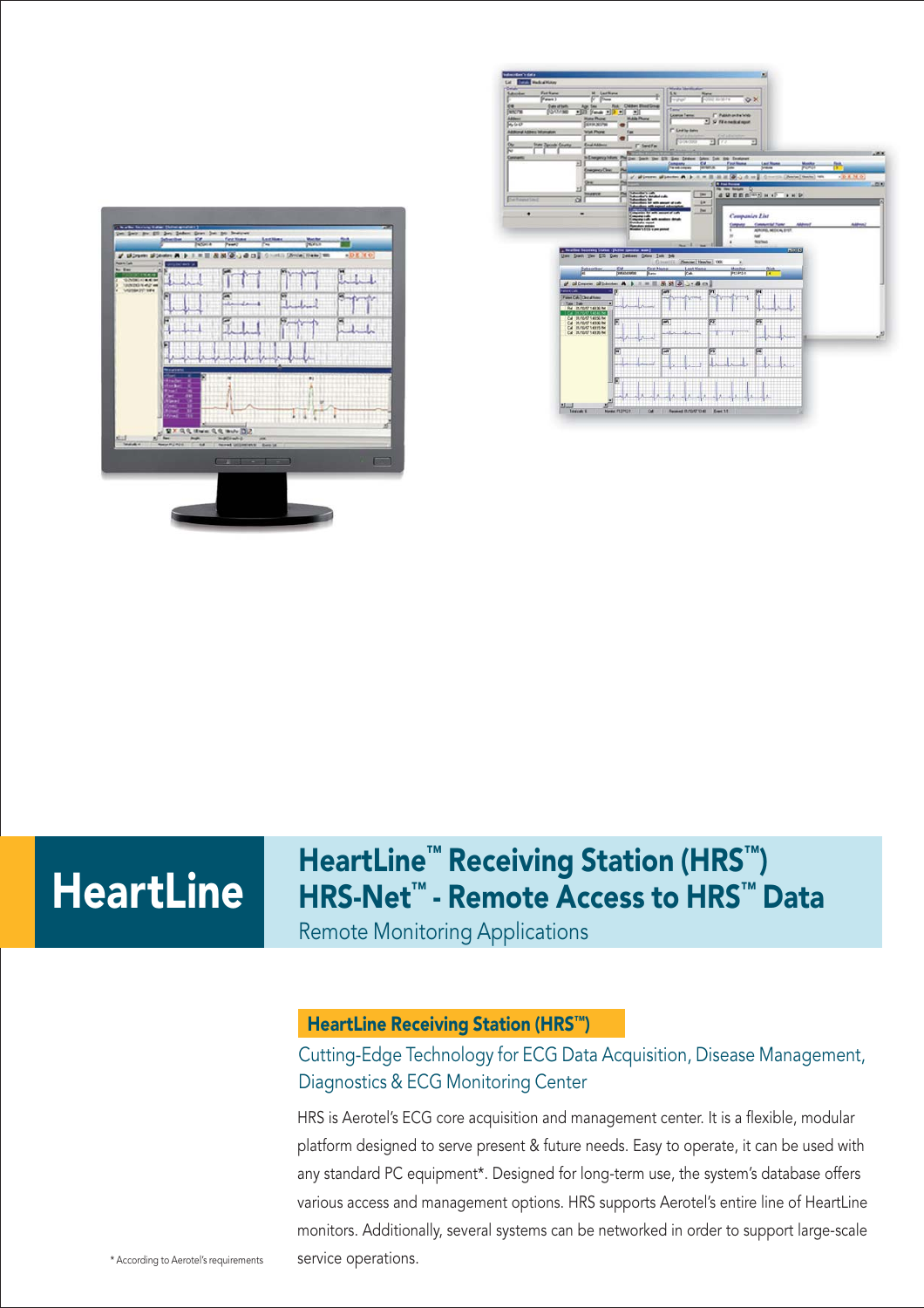



# HeartLine

# HeartLine<sup>™</sup> Receiving Station (HRS<sup>™</sup>) HRS-Net™ - Remote Access to HRS™ Data

Remote Monitoring Applications

#### HeartLine Receiving Station (HRS™)

# Cutting-Edge Technology for ECG Data Acquisition, Disease Management, Diagnostics & ECG Monitoring Center

HRS is Aerotel's ECG core acquisition and management center. It is a flexible, modular platform designed to serve present & future needs. Easy to operate, it can be used with any standard PC equipment\*. Designed for long-term use, the system's database offers various access and management options. HRS supports Aerotel's entire line of HeartLine monitors. Additionally, several systems can be networked in order to support large-scale \* According to Aerotel's requirements service operations.